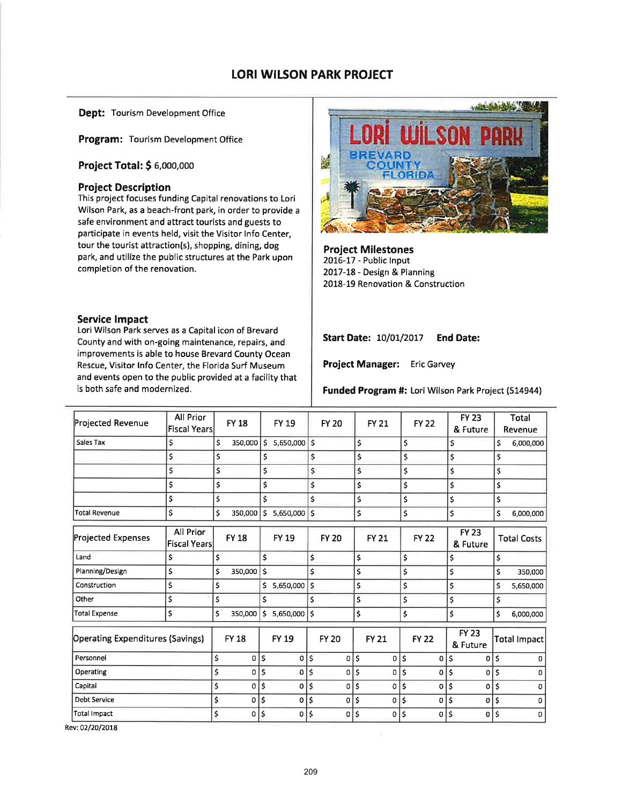## **LORI WILSON PARK PROJECT**

**Dept: Tourism Development Office** 

Program: Tourism Development Office

Project Total: \$ 6,000,000

## **Project Description**

This project focuses funding Capital renovations to Lori Wilson Park, as a beach-front park, in order to provide a safe environment and attract tourists and guests to participate in events held, visit the Visitor Info Center, tour the tourist attraction(s), shopping, dining, dog park, and utilize the public structures at the Park upon completion of the renovation.

#### **Service Impact**

Lori Wilson Park serves as a Capital icon of Brevard County and with on-going maintenance, repairs, and improvements is able to house Brevard County Ocean Rescue, Visitor Info Center, the Florida Surf Museum and events open to the public provided at a facility that is both safe and modernized.



**Project Milestones** 2016-17 - Public Input 2017-18 - Design & Planning 2018-19 Renovation & Construction

**Start Date: 10/01/2017 End Date:** 

Project Manager: Eric Garvey

Funded Program #: Lori Wilson Park Project (514944)

| <b>Projected Revenue</b>                | All Prior<br><b>Fiscal Years</b> | <b>FY 18</b>  |                    | FY 19        |     | <b>FY 20</b> | <b>FY 21</b>         |     | <b>FY 22</b> |                     | <b>FY 23</b><br>& Future |     | Total<br>Revenue   |
|-----------------------------------------|----------------------------------|---------------|--------------------|--------------|-----|--------------|----------------------|-----|--------------|---------------------|--------------------------|-----|--------------------|
| Sales Tax                               | \$                               | \$<br>350,000 | ١s                 | 5,650,000    | l\$ |              | \$                   | \$  |              | \$                  |                          | \$  | 6,000,000          |
|                                         | \$                               | \$            | \$                 |              | \$  |              | \$                   | \$  |              | \$                  |                          | \$  |                    |
|                                         | \$                               | \$            | \$                 |              | \$  |              | \$                   | \$  |              | \$                  |                          | \$  |                    |
|                                         | \$                               | \$            | \$                 |              | \$  |              | \$                   | \$  |              | \$                  |                          | \$  |                    |
|                                         | \$                               | \$            | $\mathsf{\hat{S}}$ |              | \$  |              | \$                   | \$  |              | \$                  |                          | \$  |                    |
| <b>Total Revenue</b>                    | \$                               | \$<br>350,000 | 5                  | 5,650,000    | \$  |              | \$                   | \$  |              | \$                  |                          | \$  | 6,000,000          |
| <b>Projected Expenses</b>               | All Prior<br><b>Fiscal Years</b> | <b>FY 18</b>  |                    | <b>FY 19</b> |     | <b>FY 20</b> | <b>FY 21</b>         |     | <b>FY 22</b> |                     | <b>FY 23</b><br>& Future |     | <b>Total Costs</b> |
| Land                                    | \$                               | \$            | \$                 |              | \$  |              | \$                   | \$  |              | \$                  |                          | \$  |                    |
| Planning/Design                         | \$                               | \$<br>350,000 | Ś                  |              | \$  |              | \$                   | \$  |              | \$                  |                          | \$  | 350,000            |
| Construction                            | \$                               | \$            | \$                 | 5,650,000    | \$  |              | \$                   | \$  |              | \$                  |                          | \$  | 5,650,000          |
| Other                                   | \$                               | \$            | Ś                  |              | Ś   |              | \$                   | \$  |              | \$                  |                          | \$  |                    |
| Total Expense                           | \$                               | \$<br>350,000 | \$                 | 5,650,000    | Ś   |              | \$                   | \$  |              | Ś                   |                          | \$. | 6,000,000          |
| <b>Operating Expenditures (Savings)</b> |                                  | <b>FY 18</b>  |                    | <b>FY 19</b> |     | <b>FY 20</b> | <b>FY 21</b>         |     | <b>FY 22</b> |                     | <b>FY 23</b><br>& Future |     | Total Impact       |
| Personnel                               |                                  | \$<br>0       | \$                 | 0            | Ŝ   | 0            | \$<br>0              | \$  | 0            | \$                  | 0                        | Š.  |                    |
| Operating                               |                                  | \$<br>0       | \$                 | 0            | Ś   | 0            | \$<br>0              | \$  | 0            | $\mathsf{S}$        | 0                        | \$  | n                  |
| Capital                                 |                                  | \$<br>0       | \$                 | 0            | \$  | 0            | \$<br>0              | \$  | 0            | $\ddot{\mathsf{s}}$ | 0                        | \$  | o                  |
| <b>Debt Service</b>                     |                                  | \$<br>0       | \$                 | οI           | \$  | 0            | \$<br>$\overline{0}$ | \$, | 0            | ¦\$                 | $\mathbf{0}$             | Ś   | O                  |
| <b>Total Impact</b>                     |                                  | \$<br>0       | \$                 | 0            | \$  | 0            | \$<br>0              | \$  | 0            | '\$                 | 0                        | \$  | $\Omega$           |

Rev: 02/20/2018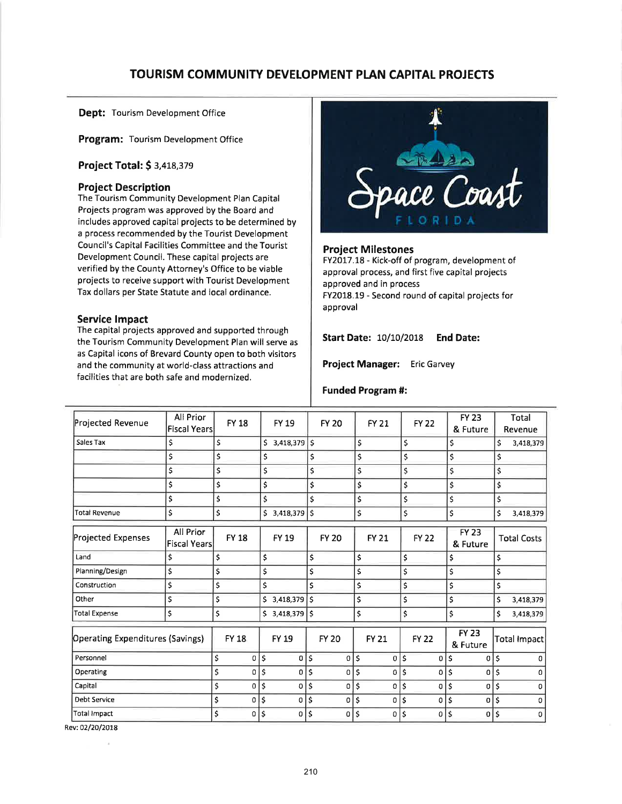# TOURISM COMMUNITY DEVELOPMENT PLAN CAPITAL PROJECTS

Dept: Tourism Development Office

Program: Tourism Development Office

## Project Total: \$ 3,418,379

## Project Description

The Tourism Community Development Plan Capital Projects program was approved by the Board and includes approved capital projects to be determined by a process recommended by the Tourist Development Council's Capital Facilities Committee and the Tourist Development Council. These capital projects are verified by the County Attorney's Office to be viable projects to receive support with Tourist Development Tax dollars per State Statute and local ordinance.

#### Service lmpact

The capital projects approved and supported through the Tourism Community Development Plan will serve as as Capital icons of Brevard County open to both visitors and the community at world-class attractions and facilities that are both safe and modernized.



#### Project Milestones

FY2017.18 - Kick-off of program, development of approval process, and first five capital projects approved and in process FY2018.19 - Second round of capital projects for approval

Start Date: 10/10/2018 End Date:

Project Manager: Eric Garvey

#### Funded Program #:

| All Prior | <b>FY 18</b>                            |                                            | <b>FY 19</b>        |              | <b>FY 20</b>                                                        |          | <b>FY 21</b> |                                                                | <b>FY 22</b> |                    | <b>FY 23</b> |                                                                                                    | Total<br>Revenue   |
|-----------|-----------------------------------------|--------------------------------------------|---------------------|--------------|---------------------------------------------------------------------|----------|--------------|----------------------------------------------------------------|--------------|--------------------|--------------|----------------------------------------------------------------------------------------------------|--------------------|
| \$        | \$                                      | \$                                         |                     |              |                                                                     |          |              | \$                                                             |              |                    |              | \$                                                                                                 | 3,418,379          |
| \$        | \$                                      | \$                                         |                     | \$           |                                                                     |          |              | \$                                                             |              |                    |              | \$                                                                                                 |                    |
| \$        | \$                                      | \$                                         |                     | \$           |                                                                     |          |              | \$                                                             |              |                    |              | \$                                                                                                 |                    |
| \$        | \$                                      | \$                                         |                     | \$           |                                                                     |          |              | \$                                                             |              |                    |              | \$                                                                                                 |                    |
| \$        | \$                                      | \$                                         |                     | \$           |                                                                     |          |              | \$                                                             |              |                    |              | \$                                                                                                 |                    |
| \$        | \$                                      |                                            |                     | \$           |                                                                     |          |              | \$                                                             |              |                    |              | \$                                                                                                 | 3,418,379          |
| All Prior | <b>FY 18</b>                            |                                            | FY 19               |              | <b>FY 20</b>                                                        |          | <b>FY 21</b> |                                                                | <b>FY 22</b> |                    | <b>FY 23</b> |                                                                                                    | <b>Total Costs</b> |
| \$        | \$                                      | \$                                         |                     | \$           |                                                                     |          |              | \$                                                             |              |                    |              | \$                                                                                                 |                    |
| \$        | \$                                      | \$                                         |                     | \$           |                                                                     |          |              | \$                                                             |              |                    |              | \$                                                                                                 |                    |
| \$        | \$                                      | Ś                                          |                     | \$           |                                                                     |          |              | \$                                                             |              |                    |              | \$                                                                                                 |                    |
| \$        | \$                                      |                                            |                     |              |                                                                     |          |              | \$                                                             |              |                    |              | \$                                                                                                 | 3,418,379          |
| \$        | \$                                      |                                            |                     |              |                                                                     |          |              | \$                                                             |              |                    |              | \$                                                                                                 | 3,418,379          |
|           | <b>FY 18</b>                            |                                            |                     |              | <b>FY 20</b>                                                        |          | <b>FY 21</b> |                                                                | <b>FY 22</b> |                    | <b>FY 23</b> |                                                                                                    | Total Impact       |
|           | \$                                      | \$                                         | 0                   | \$           | $\mathbf 0$                                                         | ¦\$      | 0            | \$                                                             | 0            | \$                 | 0            | \$                                                                                                 |                    |
|           | \$<br>0                                 | \$                                         | 0                   | \$           | 0                                                                   | \$       | 0            | \$                                                             | 0            | $\mathsf{\hat{S}}$ | 0            | \$                                                                                                 |                    |
|           | \$                                      | \$                                         | 0                   | \$           | 0                                                                   | \$       |              |                                                                | 0            | \$                 | 0            | $\mathsf{\hat{S}}$                                                                                 | $\Omega$           |
|           | \$<br>0                                 | \$                                         | 0                   | \$           | 0                                                                   | \$       | $\mathbf 0$  | \$                                                             | 0            | \$                 | 0            | \$                                                                                                 | <sup>0</sup>       |
|           | \$<br>0                                 | \$                                         | 0                   | \$           | 0                                                                   | <b>S</b> | 0            | \$                                                             | 0            | $\mathsf{S}$       | $\mathbf{0}$ | \$                                                                                                 | $\Omega$           |
|           | <b>Operating Expenditures (Savings)</b> | <b>Fiscal Years</b><br><b>Fiscal Years</b> | 0<br>$\overline{0}$ | <b>FY 19</b> | $3,418,379$ \$<br>\$3,418,379<br>$$3,418,379$ \$<br>$$3,418,379$ \$ |          |              | \$<br>\$<br>\$<br>\$<br>\$<br>\$<br>\$<br>\$<br>\$<br>\$<br>\$ | $0$ \$       |                    |              | & Future<br>\$<br>\$<br>\$<br>\$<br>\$<br>\$<br>& Future<br>\$<br>\$<br>\$<br>\$<br>\$<br>& Future |                    |

Rev: 02/20/2018